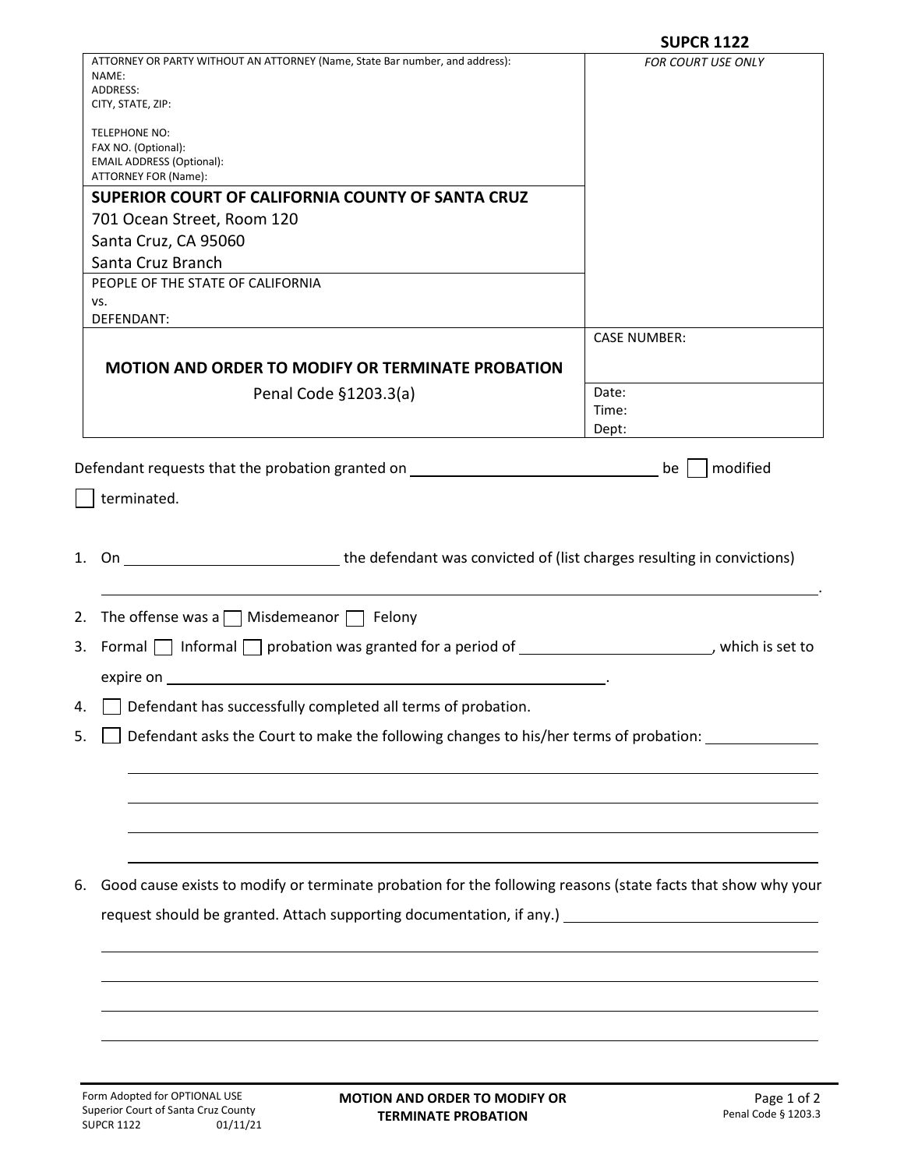|                                                                                                                         | <b>SUPCR 1122</b>         |
|-------------------------------------------------------------------------------------------------------------------------|---------------------------|
| ATTORNEY OR PARTY WITHOUT AN ATTORNEY (Name, State Bar number, and address):                                            | <b>FOR COURT USE ONLY</b> |
| NAME:<br>ADDRESS:                                                                                                       |                           |
| CITY, STATE, ZIP:                                                                                                       |                           |
| TELEPHONE NO:                                                                                                           |                           |
| FAX NO. (Optional):                                                                                                     |                           |
| <b>EMAIL ADDRESS (Optional):</b><br>ATTORNEY FOR (Name):                                                                |                           |
| SUPERIOR COURT OF CALIFORNIA COUNTY OF SANTA CRUZ                                                                       |                           |
| 701 Ocean Street, Room 120                                                                                              |                           |
| Santa Cruz, CA 95060                                                                                                    |                           |
| Santa Cruz Branch                                                                                                       |                           |
| PEOPLE OF THE STATE OF CALIFORNIA                                                                                       |                           |
| vs.                                                                                                                     |                           |
| DEFENDANT:                                                                                                              | <b>CASE NUMBER:</b>       |
|                                                                                                                         |                           |
| MOTION AND ORDER TO MODIFY OR TERMINATE PROBATION                                                                       |                           |
| Penal Code §1203.3(a)                                                                                                   | Date:                     |
|                                                                                                                         | Time:<br>Dept:            |
|                                                                                                                         |                           |
| Defendant requests that the probation granted on _______________________________                                        | modified<br>$be$          |
| terminated.                                                                                                             |                           |
| 1. On ________________________________the defendant was convicted of (list charges resulting in convictions)            |                           |
| 2. The offense was a $\Box$ Misdemeanor $\Box$ Felony                                                                   |                           |
| 3. Formal $\Box$ Informal $\Box$ probation was granted for a period of $\Box$ ________________________, which is set to |                           |
| expire on <b>expire on</b>                                                                                              |                           |
| Defendant has successfully completed all terms of probation.                                                            |                           |
| Defendant asks the Court to make the following changes to his/her terms of probation: _____________<br>5.               |                           |
|                                                                                                                         |                           |
|                                                                                                                         |                           |
| Good cause exists to modify or terminate probation for the following reasons (state facts that show why your<br>6.      |                           |
| request should be granted. Attach supporting documentation, if any.) [16] The manner of the state of the state          |                           |
|                                                                                                                         |                           |
|                                                                                                                         |                           |
|                                                                                                                         |                           |
|                                                                                                                         |                           |